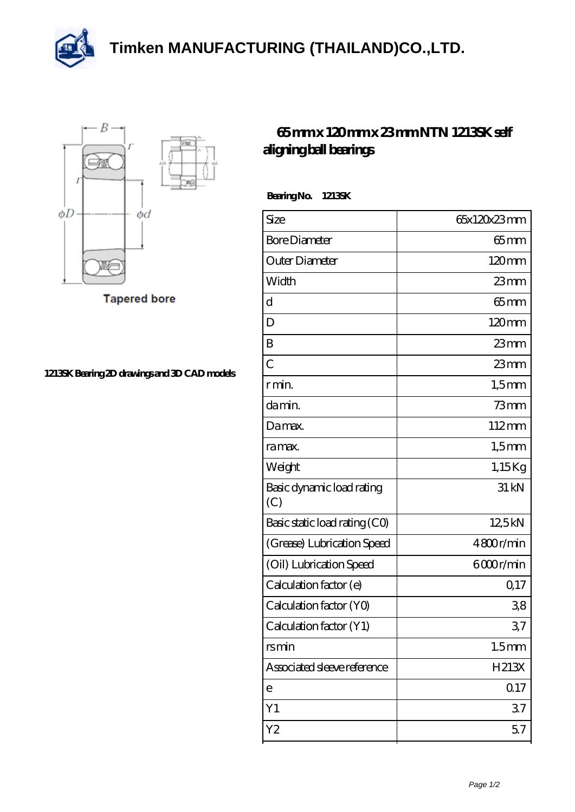**[Timken MANUFACTURING \(THAILAND\)CO.,LTD.](https://thereclaimer.net)**





**Tapered bore** 

**[1213SK Bearing 2D drawings and 3D CAD models](https://thereclaimer.net/pic-65136085.html)**

## **[65 mm x 120 mm x 23 mm NTN 1213SK self](https://thereclaimer.net/ntn-1213sk-bearing/) [aligning ball bearings](https://thereclaimer.net/ntn-1213sk-bearing/)**

 **Bearing No. 1213SK**

| Size                             | 65x120x23mm       |
|----------------------------------|-------------------|
| <b>Bore Diameter</b>             | 65mm              |
| Outer Diameter                   | $120 \text{mm}$   |
| Width                            | $23$ mm           |
| d                                | $65 \text{mm}$    |
| D                                | $120 \text{mm}$   |
| B                                | 23mm              |
| $\overline{C}$                   | $23$ mm           |
| r min.                           | $1,5$ mm          |
| da min.                          | $73$ mm           |
| Damax.                           | 112mm             |
| ra max.                          | $1,5$ mm          |
| Weight                           | 1,15Kg            |
| Basic dynamic load rating<br>(C) | 31 kN             |
| Basic static load rating (CO)    | 12,5kN            |
| (Grease) Lubrication Speed       | 4800r/min         |
| (Oil) Lubrication Speed          | 6000r/min         |
| Calculation factor (e)           | 0,17              |
| Calculation factor (YO)          | 38                |
| Calculation factor (Y1)          | 37                |
| rsmin                            | 1.5 <sub>mm</sub> |
| Associated sleeve reference      | H213X             |
| е                                | 0.17              |
| Y1                               | 37                |
| Y2                               | 57                |
|                                  |                   |